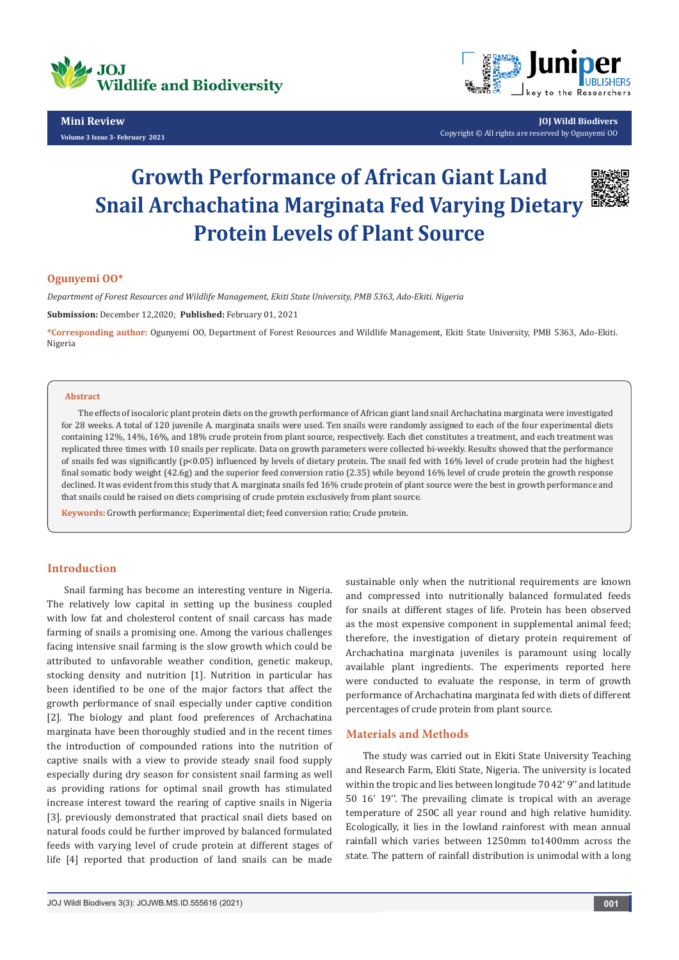

**Mini Review Volume 3 Issue 3- February 2021**



**JOJ Wildl Biodivers** Copyright © All rights are reserved by Ogunyemi OO

# **Growth Performance of African Giant Land Snail Archachatina Marginata Fed Varying Dietary Protein Levels of Plant Source**



## **Ogunyemi OO\***

*Department of Forest Resources and Wildlife Management, Ekiti State University, PMB 5363, Ado-Ekiti. Nigeria*

**Submission:** December 12,2020; **Published:** February 01, 2021

**\*Corresponding author:** Ogunyemi OO, Department of Forest Resources and Wildlife Management, Ekiti State University, PMB 5363, Ado-Ekiti. Nigeria

#### **Abstract**

The effects of isocaloric plant protein diets on the growth performance of African giant land snail Archachatina marginata were investigated for 28 weeks. A total of 120 juvenile A. marginata snails were used. Ten snails were randomly assigned to each of the four experimental diets containing 12%, 14%, 16%, and 18% crude protein from plant source, respectively. Each diet constitutes a treatment, and each treatment was replicated three times with 10 snails per replicate. Data on growth parameters were collected bi-weekly. Results showed that the performance of snails fed was significantly (p<0.05) influenced by levels of dietary protein. The snail fed with 16% level of crude protein had the highest final somatic body weight (42.6g) and the superior feed conversion ratio (2.35) while beyond 16% level of crude protein the growth response declined. It was evident from this study that A. marginata snails fed 16% crude protein of plant source were the best in growth performance and that snails could be raised on diets comprising of crude protein exclusively from plant source.

**Keywords:** Growth performance; Experimental diet; feed conversion ratio; Crude protein.

# **Introduction**

Snail farming has become an interesting venture in Nigeria. The relatively low capital in setting up the business coupled with low fat and cholesterol content of snail carcass has made farming of snails a promising one. Among the various challenges facing intensive snail farming is the slow growth which could be attributed to unfavorable weather condition, genetic makeup, stocking density and nutrition [1]. Nutrition in particular has been identified to be one of the major factors that affect the growth performance of snail especially under captive condition [2]. The biology and plant food preferences of Archachatina marginata have been thoroughly studied and in the recent times the introduction of compounded rations into the nutrition of captive snails with a view to provide steady snail food supply especially during dry season for consistent snail farming as well as providing rations for optimal snail growth has stimulated increase interest toward the rearing of captive snails in Nigeria [3]. previously demonstrated that practical snail diets based on natural foods could be further improved by balanced formulated feeds with varying level of crude protein at different stages of life [4] reported that production of land snails can be made

sustainable only when the nutritional requirements are known and compressed into nutritionally balanced formulated feeds for snails at different stages of life. Protein has been observed as the most expensive component in supplemental animal feed; therefore, the investigation of dietary protein requirement of Archachatina marginata juveniles is paramount using locally available plant ingredients. The experiments reported here were conducted to evaluate the response, in term of growth performance of Archachatina marginata fed with diets of different percentages of crude protein from plant source.

#### **Materials and Methods**

The study was carried out in Ekiti State University Teaching and Research Farm, Ekiti State, Nigeria. The university is located within the tropic and lies between longitude 70 42' 9'' and latitude 50 16' 19''. The prevailing climate is tropical with an average temperature of 250C all year round and high relative humidity. Ecologically, it lies in the lowland rainforest with mean annual rainfall which varies between 1250mm to1400mm across the state. The pattern of rainfall distribution is unimodal with a long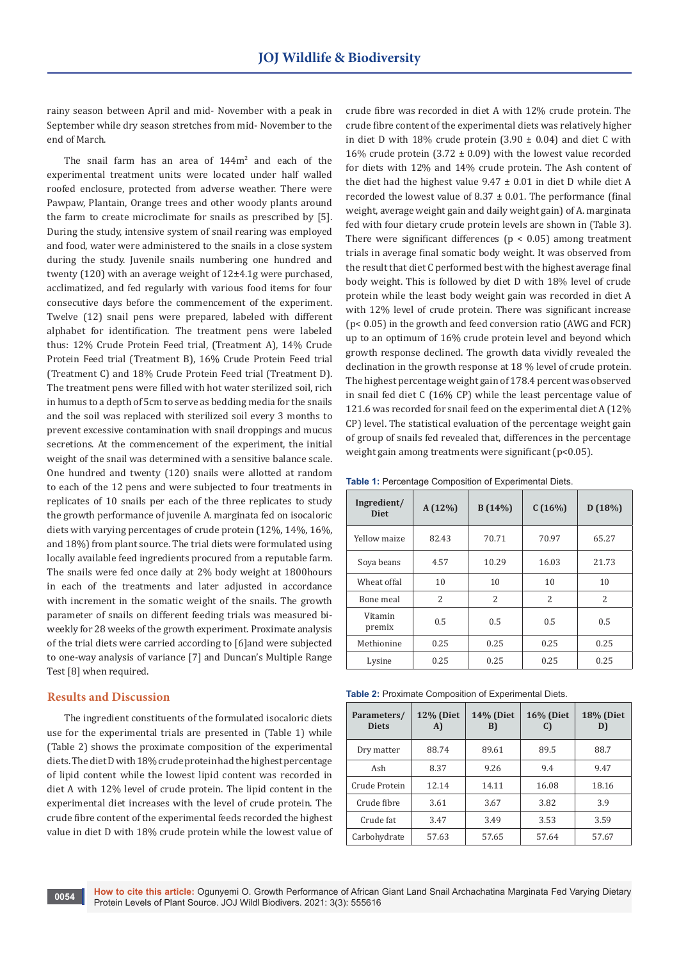rainy season between April and mid- November with a peak in September while dry season stretches from mid- November to the end of March.

The snail farm has an area of  $144m<sup>2</sup>$  and each of the experimental treatment units were located under half walled roofed enclosure, protected from adverse weather. There were Pawpaw, Plantain, Orange trees and other woody plants around the farm to create microclimate for snails as prescribed by [5]. During the study, intensive system of snail rearing was employed and food, water were administered to the snails in a close system during the study. Juvenile snails numbering one hundred and twenty (120) with an average weight of 12±4.1g were purchased, acclimatized, and fed regularly with various food items for four consecutive days before the commencement of the experiment. Twelve (12) snail pens were prepared, labeled with different alphabet for identification. The treatment pens were labeled thus: 12% Crude Protein Feed trial, (Treatment A), 14% Crude Protein Feed trial (Treatment B), 16% Crude Protein Feed trial (Treatment C) and 18% Crude Protein Feed trial (Treatment D). The treatment pens were filled with hot water sterilized soil, rich in humus to a depth of 5cm to serve as bedding media for the snails and the soil was replaced with sterilized soil every 3 months to prevent excessive contamination with snail droppings and mucus secretions. At the commencement of the experiment, the initial weight of the snail was determined with a sensitive balance scale. One hundred and twenty (120) snails were allotted at random to each of the 12 pens and were subjected to four treatments in replicates of 10 snails per each of the three replicates to study the growth performance of juvenile A. marginata fed on isocaloric diets with varying percentages of crude protein (12%, 14%, 16%, and 18%) from plant source. The trial diets were formulated using locally available feed ingredients procured from a reputable farm. The snails were fed once daily at 2% body weight at 1800hours in each of the treatments and later adjusted in accordance with increment in the somatic weight of the snails. The growth parameter of snails on different feeding trials was measured biweekly for 28 weeks of the growth experiment. Proximate analysis of the trial diets were carried according to [6]and were subjected to one-way analysis of variance [7] and Duncan's Multiple Range Test [8] when required.

#### **Results and Discussion**

The ingredient constituents of the formulated isocaloric diets use for the experimental trials are presented in (Table 1) while (Table 2) shows the proximate composition of the experimental diets. The diet D with 18% crude protein had the highest percentage of lipid content while the lowest lipid content was recorded in diet A with 12% level of crude protein. The lipid content in the experimental diet increases with the level of crude protein. The crude fibre content of the experimental feeds recorded the highest value in diet D with 18% crude protein while the lowest value of crude fibre was recorded in diet A with 12% crude protein. The crude fibre content of the experimental diets was relatively higher in diet D with 18% crude protein  $(3.90 \pm 0.04)$  and diet C with 16% crude protein (3.72  $\pm$  0.09) with the lowest value recorded for diets with 12% and 14% crude protein. The Ash content of the diet had the highest value 9.47 ± 0.01 in diet D while diet A recorded the lowest value of  $8.37 \pm 0.01$ . The performance (final weight, average weight gain and daily weight gain) of A. marginata fed with four dietary crude protein levels are shown in (Table 3). There were significant differences ( $p < 0.05$ ) among treatment trials in average final somatic body weight. It was observed from the result that diet C performed best with the highest average final body weight. This is followed by diet D with 18% level of crude protein while the least body weight gain was recorded in diet A with 12% level of crude protein. There was significant increase (p< 0.05) in the growth and feed conversion ratio (AWG and FCR) up to an optimum of 16% crude protein level and beyond which growth response declined. The growth data vividly revealed the declination in the growth response at 18 % level of crude protein. The highest percentage weight gain of 178.4 percent was observed in snail fed diet C (16% CP) while the least percentage value of 121.6 was recorded for snail feed on the experimental diet A (12% CP) level. The statistical evaluation of the percentage weight gain of group of snails fed revealed that, differences in the percentage weight gain among treatments were significant (p<0.05).

**Table 1:** Percentage Composition of Experimental Diets.

| Ingredient/<br><b>Diet</b> | $A(12\%)$     | B(14%)                   | C(16%)                   | D(18%)        |  |
|----------------------------|---------------|--------------------------|--------------------------|---------------|--|
| Yellow maize               | 82.43         | 70.71                    | 70.97                    | 65.27         |  |
| Soya beans                 | 4.57          | 10.29                    | 16.03                    | 21.73         |  |
| Wheat offal                | 10            | 10                       | 10                       | 10            |  |
| Bone meal                  | $\mathcal{L}$ | $\overline{\mathcal{L}}$ | $\overline{\mathcal{L}}$ | $\mathcal{L}$ |  |
| Vitamin<br>premix          | 0.5           | 0.5                      | 0.5                      | 0.5           |  |
| Methionine                 | 0.25          | 0.25                     | 0.25                     | 0.25          |  |
| Lysine                     | 0.25          | 0.25                     | 0.25                     | 0.25          |  |

**Table 2:** Proximate Composition of Experimental Diets.

| Parameters/<br><b>Diets</b> | <b>12% (Diet</b><br>A) | <b>14% (Diet</b><br>B) | <b>16% (Diet</b><br>C) | <b>18% (Diet</b><br>D) |  |
|-----------------------------|------------------------|------------------------|------------------------|------------------------|--|
| Dry matter                  | 88.74                  | 89.61                  | 89.5                   | 88.7                   |  |
| Ash                         | 8.37                   | 9.26                   | 9.4                    | 9.47                   |  |
| Crude Protein               | 12.14                  | 14.11                  | 16.08                  | 18.16                  |  |
| Crude fibre                 | 3.61                   | 3.67                   | 3.82                   | 3.9                    |  |
| Crude fat                   | 3.47                   | 3.49                   | 3.53                   | 3.59                   |  |
| Carbohydrate                | 57.63                  | 57.65                  | 57.64                  | 57.67                  |  |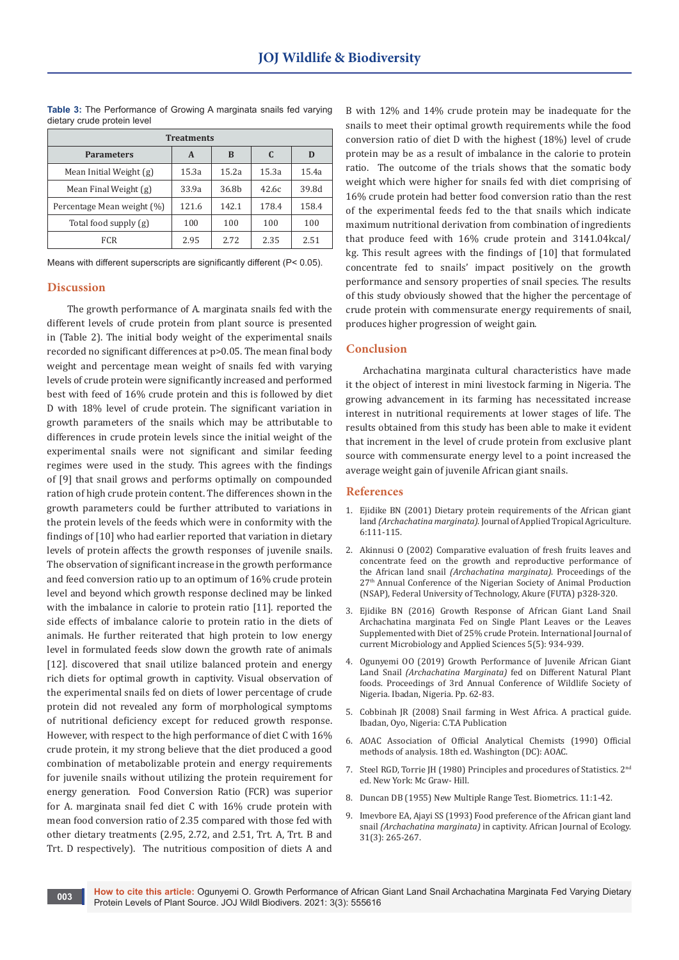| <b>Treatments</b>          |       |                   |       |       |  |  |  |  |
|----------------------------|-------|-------------------|-------|-------|--|--|--|--|
| <b>Parameters</b>          | A     | B                 | C     | D     |  |  |  |  |
| Mean Initial Weight (g)    | 15.3a | 15.2a             | 15.3a | 15.4a |  |  |  |  |
| Mean Final Weight (g)      | 33.9a | 36.8 <sub>b</sub> | 42.6c | 39.8d |  |  |  |  |
| Percentage Mean weight (%) | 121.6 | 142.1             | 178.4 | 158.4 |  |  |  |  |
| Total food supply (g)      | 100   | 100               | 100   | 100   |  |  |  |  |
| FCR.                       | 2.95  | 2.72              | 2.35  | 2.51  |  |  |  |  |

**Table 3:** The Performance of Growing A marginata snails fed varying dietary crude protein level

Means with different superscripts are significantly different (P< 0.05).

## **Discussion**

 The growth performance of A. marginata snails fed with the different levels of crude protein from plant source is presented in (Table 2). The initial body weight of the experimental snails recorded no significant differences at p>0.05. The mean final body weight and percentage mean weight of snails fed with varying levels of crude protein were significantly increased and performed best with feed of 16% crude protein and this is followed by diet D with 18% level of crude protein. The significant variation in growth parameters of the snails which may be attributable to differences in crude protein levels since the initial weight of the experimental snails were not significant and similar feeding regimes were used in the study. This agrees with the findings of [9] that snail grows and performs optimally on compounded ration of high crude protein content. The differences shown in the growth parameters could be further attributed to variations in the protein levels of the feeds which were in conformity with the findings of [10] who had earlier reported that variation in dietary levels of protein affects the growth responses of juvenile snails. The observation of significant increase in the growth performance and feed conversion ratio up to an optimum of 16% crude protein level and beyond which growth response declined may be linked with the imbalance in calorie to protein ratio [11]. reported the side effects of imbalance calorie to protein ratio in the diets of animals. He further reiterated that high protein to low energy level in formulated feeds slow down the growth rate of animals [12]. discovered that snail utilize balanced protein and energy rich diets for optimal growth in captivity. Visual observation of the experimental snails fed on diets of lower percentage of crude protein did not revealed any form of morphological symptoms of nutritional deficiency except for reduced growth response. However, with respect to the high performance of diet C with 16% crude protein, it my strong believe that the diet produced a good combination of metabolizable protein and energy requirements for juvenile snails without utilizing the protein requirement for energy generation. Food Conversion Ratio (FCR) was superior for A. marginata snail fed diet C with 16% crude protein with mean food conversion ratio of 2.35 compared with those fed with other dietary treatments (2.95, 2.72, and 2.51, Trt. A, Trt. B and Trt. D respectively). The nutritious composition of diets A and

B with 12% and 14% crude protein may be inadequate for the snails to meet their optimal growth requirements while the food conversion ratio of diet D with the highest (18%) level of crude protein may be as a result of imbalance in the calorie to protein ratio. The outcome of the trials shows that the somatic body weight which were higher for snails fed with diet comprising of 16% crude protein had better food conversion ratio than the rest of the experimental feeds fed to the that snails which indicate maximum nutritional derivation from combination of ingredients that produce feed with 16% crude protein and 3141.04kcal/ kg. This result agrees with the findings of [10] that formulated concentrate fed to snails' impact positively on the growth performance and sensory properties of snail species. The results of this study obviously showed that the higher the percentage of crude protein with commensurate energy requirements of snail, produces higher progression of weight gain.

# **Conclusion**

Archachatina marginata cultural characteristics have made it the object of interest in mini livestock farming in Nigeria. The growing advancement in its farming has necessitated increase interest in nutritional requirements at lower stages of life. The results obtained from this study has been able to make it evident that increment in the level of crude protein from exclusive plant source with commensurate energy level to a point increased the average weight gain of juvenile African giant snails.

## **References**

- 1. Ejidike BN (2001) Dietary protein requirements of the African giant land *(Archachatina marginata)*. Journal of Applied Tropical Agriculture. 6:111-115.
- 2. Akinnusi O (2002) Comparative evaluation of fresh fruits leaves and concentrate feed on the growth and reproductive performance of the African land snail *(Archachatina marginata)*. Proceedings of the 27th Annual Conference of the Nigerian Society of Animal Production (NSAP), Federal University of Technology, Akure (FUTA) p328-320.
- 3. [Ejidike BN \(2016\) Growth Response of African Giant Land Snail](https://www.ijcmas.com/5-5-2016/B.%20N.%20Ejidike.pdf)  [Archachatina marginata Fed on Single Plant Leaves or the Leaves](https://www.ijcmas.com/5-5-2016/B.%20N.%20Ejidike.pdf)  [Supplemented with Diet of 25% crude Protein. International Journal of](https://www.ijcmas.com/5-5-2016/B.%20N.%20Ejidike.pdf)  [current Microbiology and Applied Sciences 5\(5\): 934-939.](https://www.ijcmas.com/5-5-2016/B.%20N.%20Ejidike.pdf)
- 4. [Ogunyemi OO \(2019\) Growth Performance of Juvenile African Giant](https://ideas.repec.org/a/zib/zbmjsa/v2y2018i1p1-4.html)  Land Snail *(Archachatina Marginata)* [fed on Different Natural Plant](https://ideas.repec.org/a/zib/zbmjsa/v2y2018i1p1-4.html)  [foods. Proceedings of 3rd Annual Conference of Wildlife Society of](https://ideas.repec.org/a/zib/zbmjsa/v2y2018i1p1-4.html)  [Nigeria. Ibadan, Nigeria. Pp. 62-83.](https://ideas.repec.org/a/zib/zbmjsa/v2y2018i1p1-4.html)
- 5. [Cobbinah JR \(2008\) Snail farming in West Africa. A practical guide.](https://d3gxp3iknbs7bs.cloudfront.net/attachments/37ff29d26c66fa4b5876c5e81ddad2d253737f28.pdf)  [Ibadan, Oyo, Nigeria: C.T.A Publication](https://d3gxp3iknbs7bs.cloudfront.net/attachments/37ff29d26c66fa4b5876c5e81ddad2d253737f28.pdf)
- 6. AOAC Association of Official Analytical Chemists (1990) Official methods of analysis. 18th ed. Washington (DC): AOAC.
- 7. Steel RGD, Torrie JH (1980) Principles and procedures of Statistics. 2nd ed. New York: Mc Graw- Hill.
- 8. Duncan DB (1955) New Multiple Range Test. Biometrics. 11:1-42.
- 9. [Imevbore EA, Ajayi SS \(1993\) Food preference of the African giant land](https://onlinelibrary.wiley.com/doi/abs/10.1111/j.1365-2028.1993.tb00540.x)  snail *(Archachatina marginata)* [in captivity. African Journal of Ecology.](https://onlinelibrary.wiley.com/doi/abs/10.1111/j.1365-2028.1993.tb00540.x)  [31\(3\): 265-267.](https://onlinelibrary.wiley.com/doi/abs/10.1111/j.1365-2028.1993.tb00540.x)